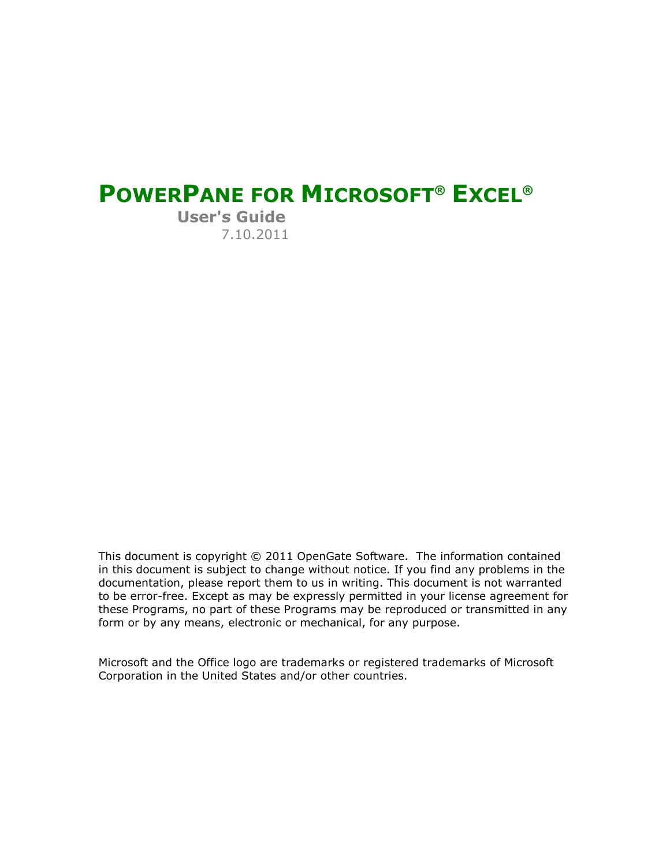# **POWERPANE FOR MICROSOFT® EXCEL®**

**User's Guide** 7.10.2011

This document is copyright © 2011 OpenGate Software. The information contained in this document is subject to change without notice. If you find any problems in the documentation, please report them to us in writing. This document is not warranted to be error-free. Except as may be expressly permitted in your license agreement for these Programs, no part of these Programs may be reproduced or transmitted in any form or by any means, electronic or mechanical, for any purpose.

Microsoft and the Office logo are trademarks or registered trademarks of Microsoft Corporation in the United States and/or other countries.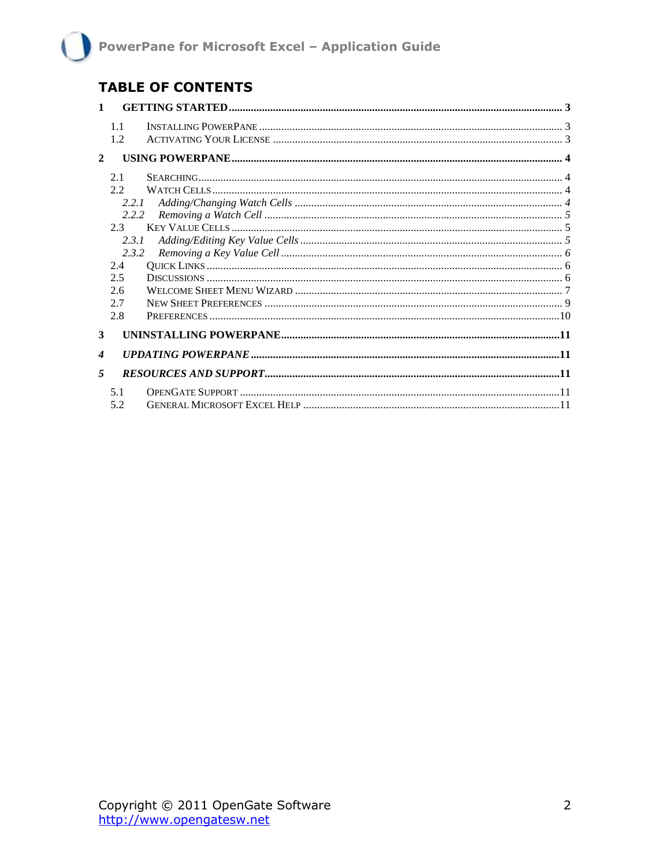### **TABLE OF CONTENTS**

| $\mathbf{1}$     |         |  |
|------------------|---------|--|
|                  | 1.1     |  |
|                  | 1.2     |  |
| $\mathbf{2}$     |         |  |
|                  | 2.1     |  |
|                  | 2.2     |  |
|                  | 2.2.1   |  |
|                  | 2.2.2   |  |
|                  | $2.3 -$ |  |
|                  | 2.3.1   |  |
|                  | 2.3.2   |  |
|                  | 2.4     |  |
|                  | 2.5     |  |
|                  | 2.6     |  |
|                  | 2.7     |  |
|                  | 2.8     |  |
| 3                |         |  |
| $\boldsymbol{4}$ |         |  |
| $\overline{5}$   |         |  |
|                  | 5.1     |  |
|                  | 5.2     |  |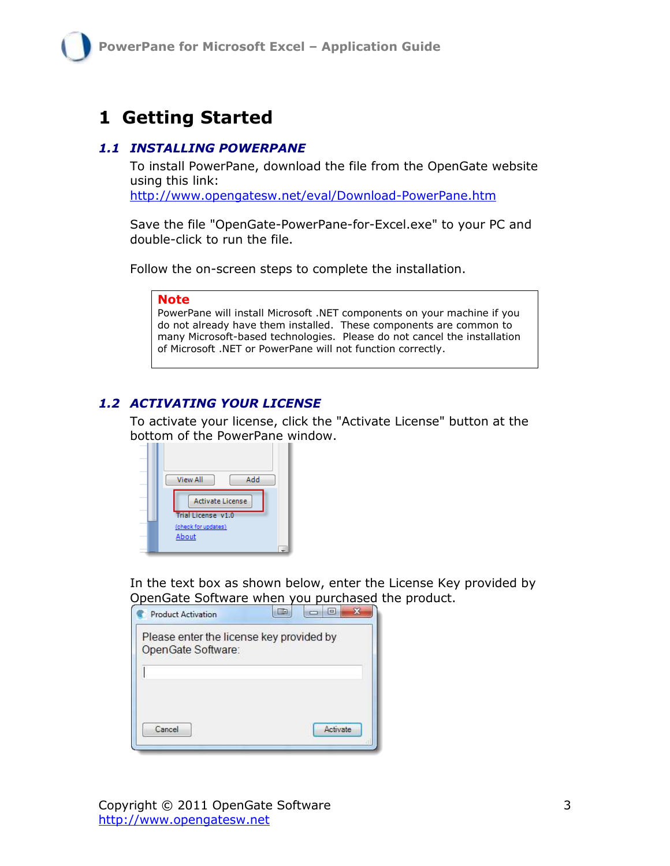## <span id="page-2-0"></span>**1 Getting Started**

#### <span id="page-2-1"></span>*1.1 INSTALLING POWERPANE*

To install PowerPane, download the file from the OpenGate website using this link:

<http://www.opengatesw.net/eval/Download-PowerPane.htm>

Save the file "OpenGate-PowerPane-for-Excel.exe" to your PC and double-click to run the file.

Follow the on-screen steps to complete the installation.

#### **Note**

PowerPane will install Microsoft .NET components on your machine if you do not already have them installed. These components are common to many Microsoft-based technologies. Please do not cancel the installation of Microsoft .NET or PowerPane will not function correctly.

### <span id="page-2-2"></span>*1.2 ACTIVATING YOUR LICENSE*

To activate your license, click the "Activate License" button at the bottom of the PowerPane window.



In the text box as shown below, enter the License Key provided by OpenGate Software when you purchased the product.

| Please enter the license key provided by |  |
|------------------------------------------|--|
| OpenGate Software:                       |  |
|                                          |  |
|                                          |  |
|                                          |  |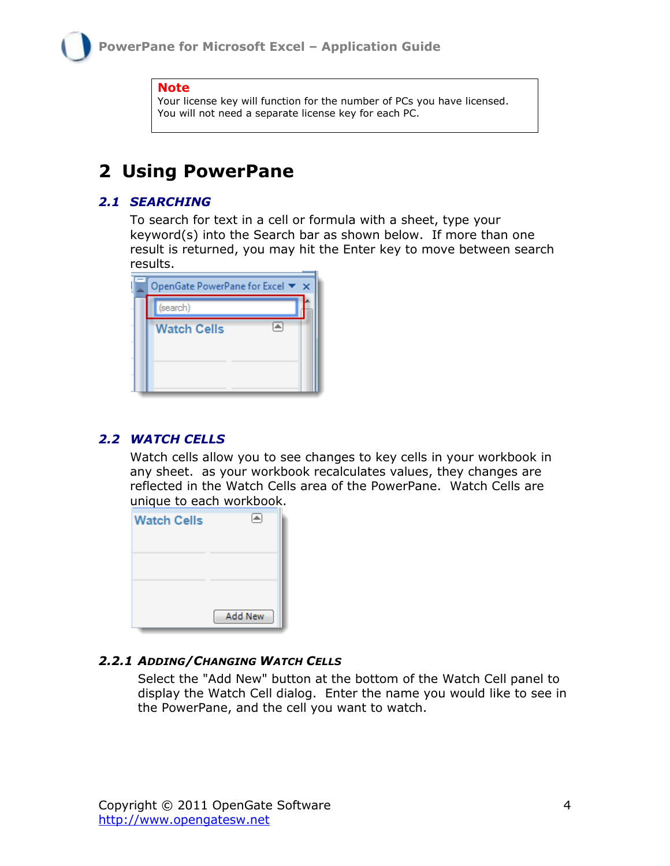#### **Note**

Your license key will function for the number of PCs you have licensed. You will not need a separate license key for each PC.

## <span id="page-3-0"></span>**2 Using PowerPane**

#### <span id="page-3-1"></span>*2.1 SEARCHING*

To search for text in a cell or formula with a sheet, type your keyword(s) into the Search bar as shown below. If more than one result is returned, you may hit the Enter key to move between search results.

| OpenGate PowerPane for Excel ▼ × |  |
|----------------------------------|--|
| (search)                         |  |
| <b>Watch Cells</b>               |  |
|                                  |  |
|                                  |  |
|                                  |  |

#### <span id="page-3-2"></span>*2.2 WATCH CELLS*

Watch cells allow you to see changes to key cells in your workbook in any sheet. as your workbook recalculates values, they changes are reflected in the Watch Cells area of the PowerPane. Watch Cells are unique to each workbook.

| <b>Watch Cells</b> |         |
|--------------------|---------|
|                    |         |
|                    |         |
|                    |         |
|                    | Add New |

#### <span id="page-3-3"></span>*2.2.1 ADDING/CHANGING WATCH CELLS*

Select the "Add New" button at the bottom of the Watch Cell panel to display the Watch Cell dialog. Enter the name you would like to see in the PowerPane, and the cell you want to watch.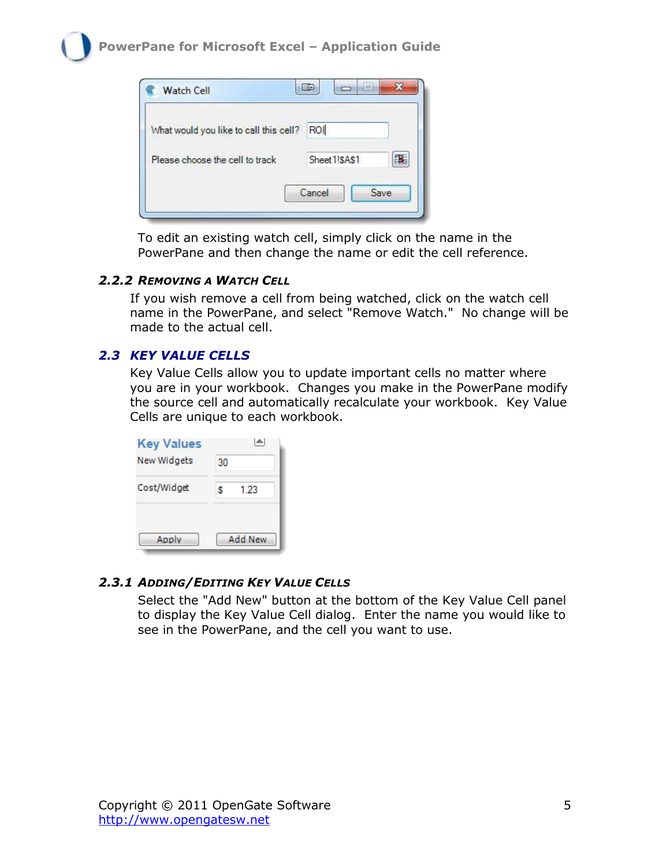

To edit an existing watch cell, simply click on the name in the PowerPane and then change the name or edit the cell reference.

#### <span id="page-4-0"></span>*2.2.2 REMOVING A WATCH CELL*

If you wish remove a cell from being watched, click on the watch cell name in the PowerPane, and select "Remove Watch." No change will be made to the actual cell.

### <span id="page-4-1"></span>*2.3 KEY VALUE CELLS*

Key Value Cells allow you to update important cells no matter where you are in your workbook. Changes you make in the PowerPane modify the source cell and automatically recalculate your workbook. Key Value Cells are unique to each workbook.

| <b>Key Values</b> |                |
|-------------------|----------------|
| New Widgets       | 30             |
| Cost/Widget       | 1 23<br>s      |
| Apply             | <b>Add New</b> |

### <span id="page-4-2"></span>*2.3.1 ADDING/EDITING KEY VALUE CELLS*

Select the "Add New" button at the bottom of the Key Value Cell panel to display the Key Value Cell dialog. Enter the name you would like to see in the PowerPane, and the cell you want to use.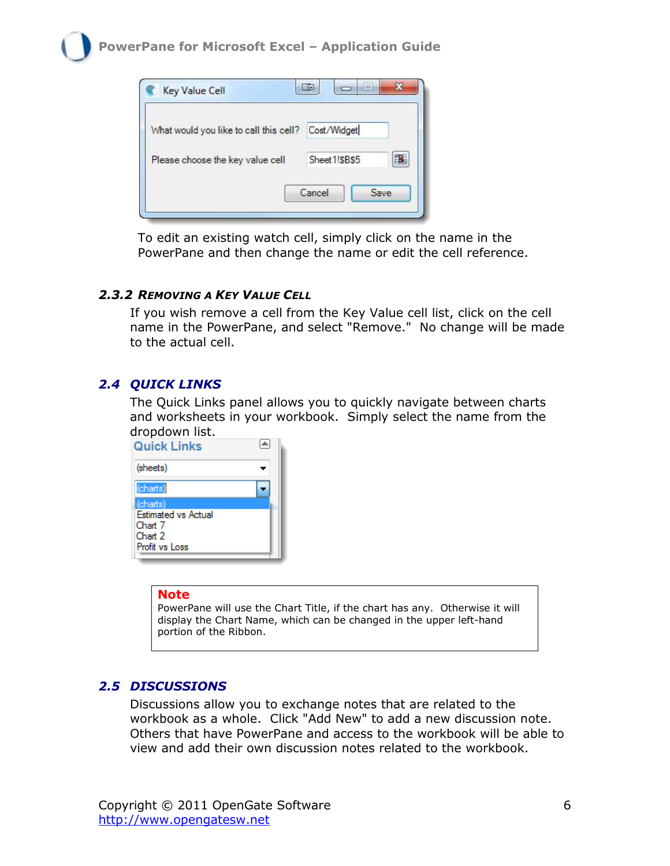

To edit an existing watch cell, simply click on the name in the PowerPane and then change the name or edit the cell reference.

#### <span id="page-5-0"></span>*2.3.2 REMOVING A KEY VALUE CELL*

If you wish remove a cell from the Key Value cell list, click on the cell name in the PowerPane, and select "Remove." No change will be made to the actual cell.

### <span id="page-5-1"></span>*2.4 QUICK LINKS*

The Quick Links panel allows you to quickly navigate between charts and worksheets in your workbook. Simply select the name from the dropdown list.

| Quick Links                |  |
|----------------------------|--|
| (sheets)                   |  |
| (charts)                   |  |
| (charts)                   |  |
| <b>Estimated vs Actual</b> |  |
| Chart 7                    |  |
| Chart 2                    |  |
| Profit vs Loss             |  |
|                            |  |

#### **Note**

PowerPane will use the Chart Title, if the chart has any. Otherwise it will display the Chart Name, which can be changed in the upper left-hand portion of the Ribbon.

### <span id="page-5-2"></span>*2.5 DISCUSSIONS*

Discussions allow you to exchange notes that are related to the workbook as a whole. Click "Add New" to add a new discussion note. Others that have PowerPane and access to the workbook will be able to view and add their own discussion notes related to the workbook.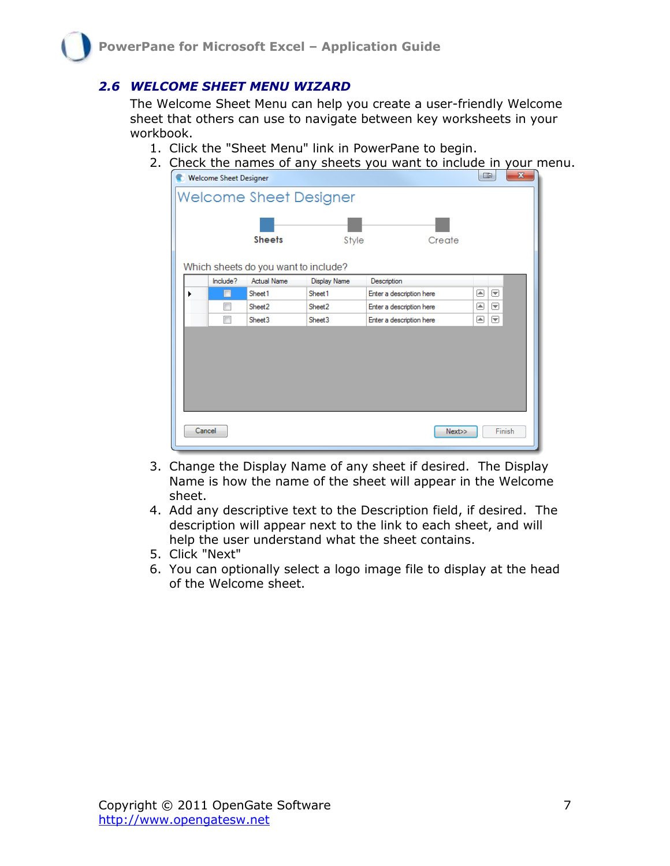### <span id="page-6-0"></span>*2.6 WELCOME SHEET MENU WIZARD*

The Welcome Sheet Menu can help you create a user-friendly Welcome sheet that others can use to navigate between key worksheets in your workbook.

- 1. Click the "Sheet Menu" link in PowerPane to begin.
- 2. Check the names of any sheets you want to include in your menu.

| Welcome Sheet Designer        |                                      |                     |                          | <b>Light</b> | X |  |
|-------------------------------|--------------------------------------|---------------------|--------------------------|--------------|---|--|
| <b>Welcome Sheet Designer</b> |                                      |                     |                          |              |   |  |
|                               | <b>Sheets</b>                        | Style               | Create                   |              |   |  |
|                               | Which sheets do you want to include? |                     |                          |              |   |  |
| Include?                      | <b>Actual Name</b>                   | <b>Display Name</b> | Description              |              |   |  |
|                               | Sheet1                               | Sheet1              | Enter a description here | ▣<br>罓       |   |  |
| П                             | Sheet <sub>2</sub>                   | Sheet <sub>2</sub>  | Enter a description here | 画<br> ▼      |   |  |
|                               | Sheet <sub>3</sub>                   | Sheet <sub>3</sub>  | Enter a description here | 画<br>☞       |   |  |
|                               |                                      |                     |                          |              |   |  |
| Cancel                        |                                      |                     | Next>>                   | Finish       |   |  |

- 3. Change the Display Name of any sheet if desired. The Display Name is how the name of the sheet will appear in the Welcome sheet.
- 4. Add any descriptive text to the Description field, if desired. The description will appear next to the link to each sheet, and will help the user understand what the sheet contains.
- 5. Click "Next"
- 6. You can optionally select a logo image file to display at the head of the Welcome sheet.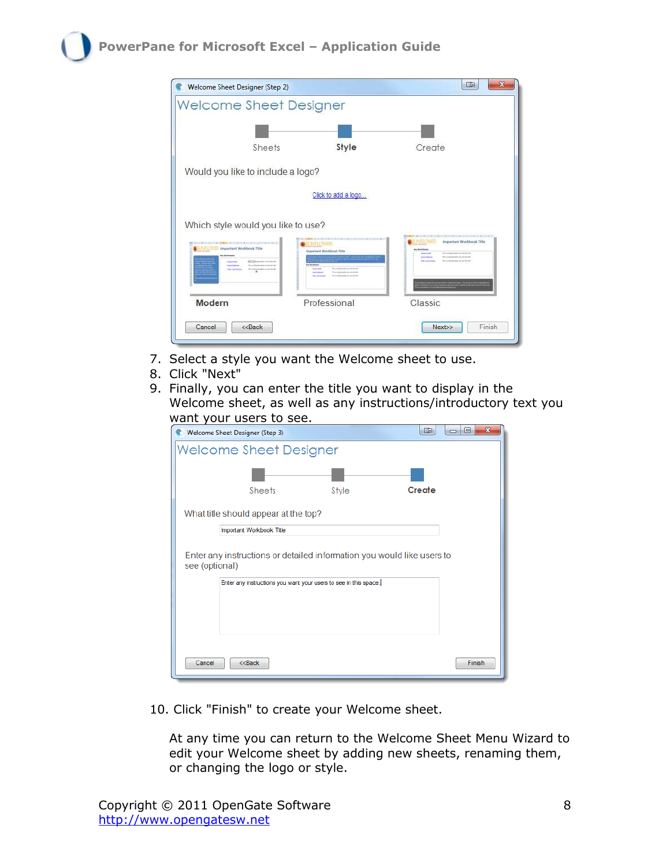| <b>Welcome Sheet Designer</b>                                                                        |                                                                                                                   |                                                                                                                                                                                                                                                                                          |                                                                                                                                                                                                                                        |  |
|------------------------------------------------------------------------------------------------------|-------------------------------------------------------------------------------------------------------------------|------------------------------------------------------------------------------------------------------------------------------------------------------------------------------------------------------------------------------------------------------------------------------------------|----------------------------------------------------------------------------------------------------------------------------------------------------------------------------------------------------------------------------------------|--|
|                                                                                                      |                                                                                                                   |                                                                                                                                                                                                                                                                                          |                                                                                                                                                                                                                                        |  |
|                                                                                                      | Sheets                                                                                                            | Style                                                                                                                                                                                                                                                                                    | Create                                                                                                                                                                                                                                 |  |
| Would you like to include a logo?                                                                    |                                                                                                                   |                                                                                                                                                                                                                                                                                          |                                                                                                                                                                                                                                        |  |
| Click to add a logo                                                                                  |                                                                                                                   |                                                                                                                                                                                                                                                                                          |                                                                                                                                                                                                                                        |  |
|                                                                                                      |                                                                                                                   |                                                                                                                                                                                                                                                                                          |                                                                                                                                                                                                                                        |  |
| Which style would you like to use?<br>Important Workbook Title<br><b>STATISTICS</b><br>THE LALER AVE | MGCOlowman.com/con.in<br>This is a billion throughout an individual with<br>This beauty are a considered<br>$-26$ | <b>IFLC: AVER</b><br>Important Worldsook Title<br><b>An Alleged Adverse</b><br>for a war of the holes would will all<br><b>Committee</b><br>The stating tensional group and will<br><b>Service</b> Science<br>Show it large turn address some to do with<br><b><i><u>SACHURE</u></i></b> | Important Workbook Title<br>With a simple decrease was not not with<br><b>Antonine</b><br>With Joseph American Link and Link<br><b>Basic &amp; Diversion</b><br>We a cross throughout you had not<br><b><i><u>But you know</u></i></b> |  |

- 7. Select a style you want the Welcome sheet to use.
- 8. Click "Next"
- 9. Finally, you can enter the title you want to display in the Welcome sheet, as well as any instructions/introductory text you want your users to see.

|                | Welcome Sheet Designer (Step 3)                                 |                                                                        | <b>THE</b> | $\overline{\mathbf{x}}$<br>▣<br>$\Box$ |
|----------------|-----------------------------------------------------------------|------------------------------------------------------------------------|------------|----------------------------------------|
|                | <b>Welcome Sheet Designer</b>                                   |                                                                        |            |                                        |
|                | Sheets                                                          | Style                                                                  | Create     |                                        |
|                | What title should appear at the top?                            |                                                                        |            |                                        |
|                | Important Workbook Title                                        |                                                                        |            |                                        |
| see (optional) |                                                                 | Enter any instructions or detailed information you would like users to |            |                                        |
|                |                                                                 | Enter any instructions you want your users to see in this space.       |            |                                        |
|                |                                                                 |                                                                        |            |                                        |
|                |                                                                 |                                                                        |            |                                        |
|                |                                                                 |                                                                        |            |                                        |
| Cancel         | < <back< th=""><td></td><td></td><td><b>Finish</b></td></back<> |                                                                        |            | <b>Finish</b>                          |

10. Click "Finish" to create your Welcome sheet.

At any time you can return to the Welcome Sheet Menu Wizard to edit your Welcome sheet by adding new sheets, renaming them, or changing the logo or style.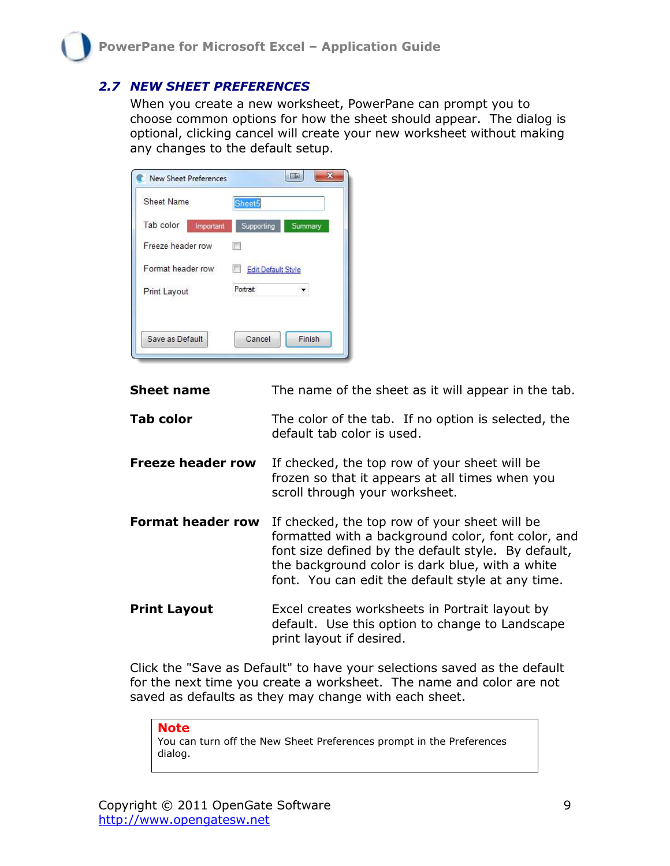#### <span id="page-8-0"></span>*2.7 NEW SHEET PREFERENCES*

When you create a new worksheet, PowerPane can prompt you to choose common options for how the sheet should appear. The dialog is optional, clicking cancel will create your new worksheet without making any changes to the default setup.

| Sheet5                |
|-----------------------|
| Supporting<br>Summary |
|                       |
| Edit Default Style    |
| Portrait              |
|                       |

| <b>Sheet name</b>        | The name of the sheet as it will appear in the tab.                                                                                                                                                                                                                |
|--------------------------|--------------------------------------------------------------------------------------------------------------------------------------------------------------------------------------------------------------------------------------------------------------------|
| <b>Tab color</b>         | The color of the tab. If no option is selected, the<br>default tab color is used.                                                                                                                                                                                  |
| <b>Freeze header row</b> | If checked, the top row of your sheet will be<br>frozen so that it appears at all times when you<br>scroll through your worksheet.                                                                                                                                 |
| <b>Format header row</b> | If checked, the top row of your sheet will be<br>formatted with a background color, font color, and<br>font size defined by the default style. By default,<br>the background color is dark blue, with a white<br>font. You can edit the default style at any time. |
| <b>Print Layout</b>      | Excel creates worksheets in Portrait layout by                                                                                                                                                                                                                     |

Click the "Save as Default" to have your selections saved as the default for the next time you create a worksheet. The name and color are not saved as defaults as they may change with each sheet.

print layout if desired.

default. Use this option to change to Landscape

**Note** You can turn off the New Sheet Preferences prompt in the Preferences dialog.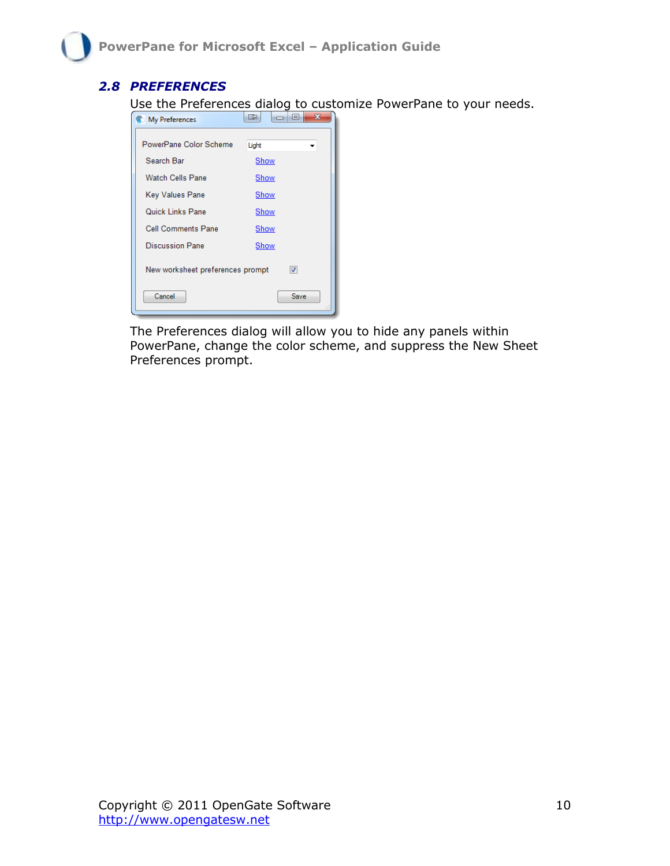### <span id="page-9-0"></span>*2.8 PREFERENCES*

Use the Preferences dialog to customize PowerPane to your needs.

| My Preferences                   | $\mathbf x$<br>E<br>HIE |
|----------------------------------|-------------------------|
| PowerPane Color Scheme           | Light                   |
| Search Bar                       | <b>Show</b>             |
| Watch Cells Pane                 | Show                    |
| Key Values Pane                  | Show                    |
| Quick Links Pane                 | Show                    |
| Cell Comments Pane               | Show                    |
| <b>Discussion Pane</b>           | Show                    |
| New worksheet preferences prompt | $\overline{\mathsf{v}}$ |
| Cancel                           | Save                    |

The Preferences dialog will allow you to hide any panels within PowerPane, change the color scheme, and suppress the New Sheet Preferences prompt.